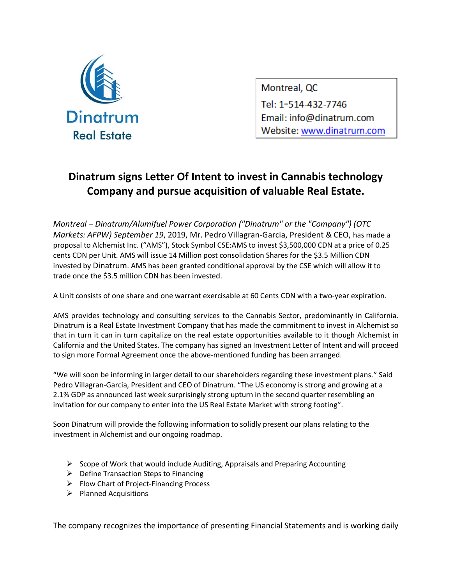

Montreal, QC Tel: 1-514-432-7746 Email: info@dinatrum.com Website: www.dinatrum.com

## **Dinatrum signs Letter Of Intent to invest in Cannabis technology Company and pursue acquisition of valuable Real Estate.**

*Montreal – Dinatrum/Alumifuel Power Corporation ("Dinatrum" or the "Company") (OTC Markets: AFPW) September 19*, 2019, Mr. Pedro Villagran-Garcia, President & CEO, has made a proposal to Alchemist Inc. ("AMS"), Stock Symbol CSE:AMS to invest \$3,500,000 CDN at a price of 0.25 cents CDN per Unit. AMS will issue 14 Million post consolidation Shares for the \$3.5 Million CDN invested by Dinatrum. AMS has been granted conditional approval by the CSE which will allow it to trade once the \$3.5 million CDN has been invested.

A Unit consists of one share and one warrant exercisable at 60 Cents CDN with a two-year expiration.

AMS provides technology and consulting services to the Cannabis Sector, predominantly in California. Dinatrum is a Real Estate Investment Company that has made the commitment to invest in Alchemist so that in turn it can in turn capitalize on the real estate opportunities available to it though Alchemist in California and the United States. The company has signed an Investment Letter of Intent and will proceed to sign more Formal Agreement once the above-mentioned funding has been arranged.

"We will soon be informing in larger detail to our shareholders regarding these investment plans." Said Pedro Villagran-Garcia, President and CEO of Dinatrum. "The US economy is strong and growing at a 2.1% GDP as announced last week surprisingly strong upturn in the second quarter resembling an invitation for our company to enter into the US Real Estate Market with strong footing".

Soon Dinatrum will provide the following information to solidly present our plans relating to the investment in Alchemist and our ongoing roadmap.

- $\triangleright$  Scope of Work that would include Auditing, Appraisals and Preparing Accounting
- $\triangleright$  Define Transaction Steps to Financing
- ➢ Flow Chart of Project-Financing Process
- ➢ Planned Acquisitions

The company recognizes the importance of presenting Financial Statements and is working daily